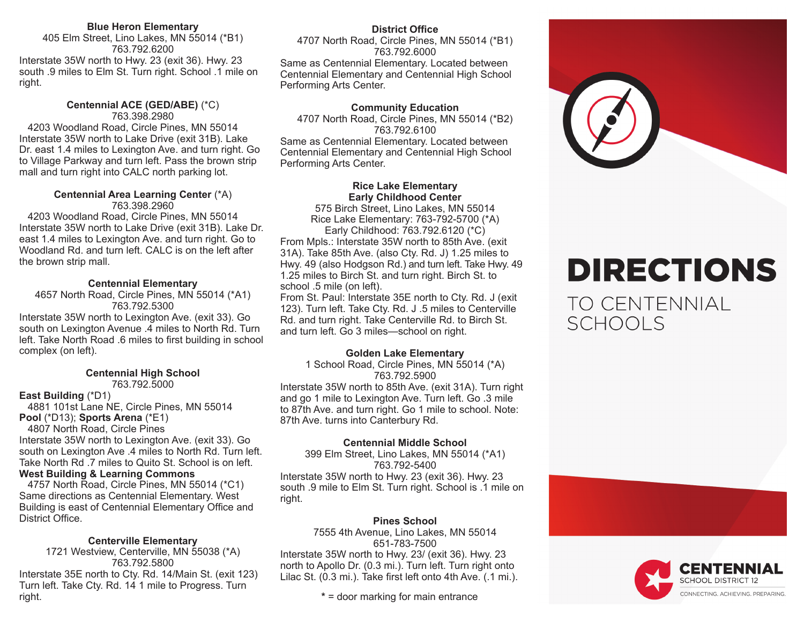#### **Blue Heron Elementary**

405 Elm Street, Lino Lakes, MN 55014 (\*B1) 763.792.6200

Interstate 35W north to Hwy. 23 (exit 36). Hwy. 23 south .9 miles to Elm St. Turn right. School .1 mile on right.

#### **Centennial ACE (GED/ABE)** (\*C) 763.398.2980

 4203 Woodland Road, Circle Pines, MN 55014 Interstate 35W north to Lake Drive (exit 31B). Lake Dr. east 1.4 miles to Lexington Ave. and turn right. Go to Village Parkway and turn left. Pass the brown strip mall and turn right into CALC north parking lot.

## **Centennial Area Learning Center** (\*A)

763.398.2960

 4203 Woodland Road, Circle Pines, MN 55014 Interstate 35W north to Lake Drive (exit 31B). Lake Dr. east 1.4 miles to Lexington Ave. and turn right. Go to Woodland Rd. and turn left. CALC is on the left after the brown strip mall.

#### **Centennial Elementary**

4657 North Road, Circle Pines, MN 55014 (\*A1) 763.792.5300

Interstate 35W north to Lexington Ave. (exit 33). Go south on Lexington Avenue .4 miles to North Rd. Turn left. Take North Road .6 miles to first building in school complex (on left).

### **Centennial High School**

763.792.5000

#### **East Building** (\*D1)

4881 101st Lane NE, Circle Pines, MN 55014 **Pool** (\*D13); **Sports Arena** (\*E1)

 4807 North Road, Circle Pines Interstate 35W north to Lexington Ave. (exit 33). Go

south on Lexington Ave .4 miles to North Rd. Turn left. Take North Rd .7 miles to Quito St. School is on left. **West Building & Learning Commons** 

 4757 North Road, Circle Pines, MN 55014 (\*C1) Same directions as Centennial Elementary. West Building is east of Centennial Elementary Office and District Office.

#### **Centerville Elementary**

1721 Westview, Centerville, MN 55038 (\*A) 763.792.5800 Interstate 35E north to Cty. Rd. 14/Main St. (exit 123) Turn left. Take Cty. Rd. 14 1 mile to Progress. Turn right.

### **District Office**

4707 North Road, Circle Pines, MN 55014 (\*B1) 763.792.6000 Same as Centennial Elementary. Located between Centennial Elementary and Centennial High School Performing Arts Center.

#### **Community Education**

4707 North Road, Circle Pines, MN 55014 (\*B2) 763.792.6100 Same as Centennial Elementary. Located between Centennial Elementary and Centennial High School

Performing Arts Center.

**Rice Lake Elementary Early Childhood Center**

575 Birch Street, Lino Lakes, MN 55014 Rice Lake Elementary: 763-792-5700 (\*A) Early Childhood: 763.792.6120 (\*C)

From Mpls.: Interstate 35W north to 85th Ave. (exit 31A). Take 85th Ave. (also Cty. Rd. J) 1.25 miles to Hwy. 49 (also Hodgson Rd.) and turn left. Take Hwy. 49 1.25 miles to Birch St. and turn right. Birch St. to school .5 mile (on left).

From St. Paul: Interstate 35E north to Cty. Rd. J (exit 123). Turn left. Take Cty. Rd. J .5 miles to Centerville Rd. and turn right. Take Centerville Rd. to Birch St. and turn left. Go 3 miles—school on right.

#### **Golden Lake Elementary**

1 School Road, Circle Pines, MN 55014 (\*A) 763.792.5900 Interstate 35W north to 85th Ave. (exit 31A). Turn right and go 1 mile to Lexington Ave. Turn left. Go .3 mile to 87th Ave. and turn right. Go 1 mile to school. Note: 87th Ave. turns into Canterbury Rd.

#### **Centennial Middle School**

399 Elm Street, Lino Lakes, MN 55014 (\*A1) 763.792-5400

Interstate 35W north to Hwy. 23 (exit 36). Hwy. 23 south .9 mile to Elm St. Turn right. School is .1 mile on right.

#### **Pines School**

7555 4th Avenue, Lino Lakes, MN 55014 651-783-7500 Interstate 35W north to Hwy. 23/ (exit 36). Hwy. 23 north to Apollo Dr. (0.3 mi.). Turn left. Turn right onto Lilac St. (0.3 mi.). Take first left onto 4th Ave. (.1 mi.).

**\*** = door marking for main entrance



# **DIRECTIONS**

**TO CENTENNIAL SCHOOLS**